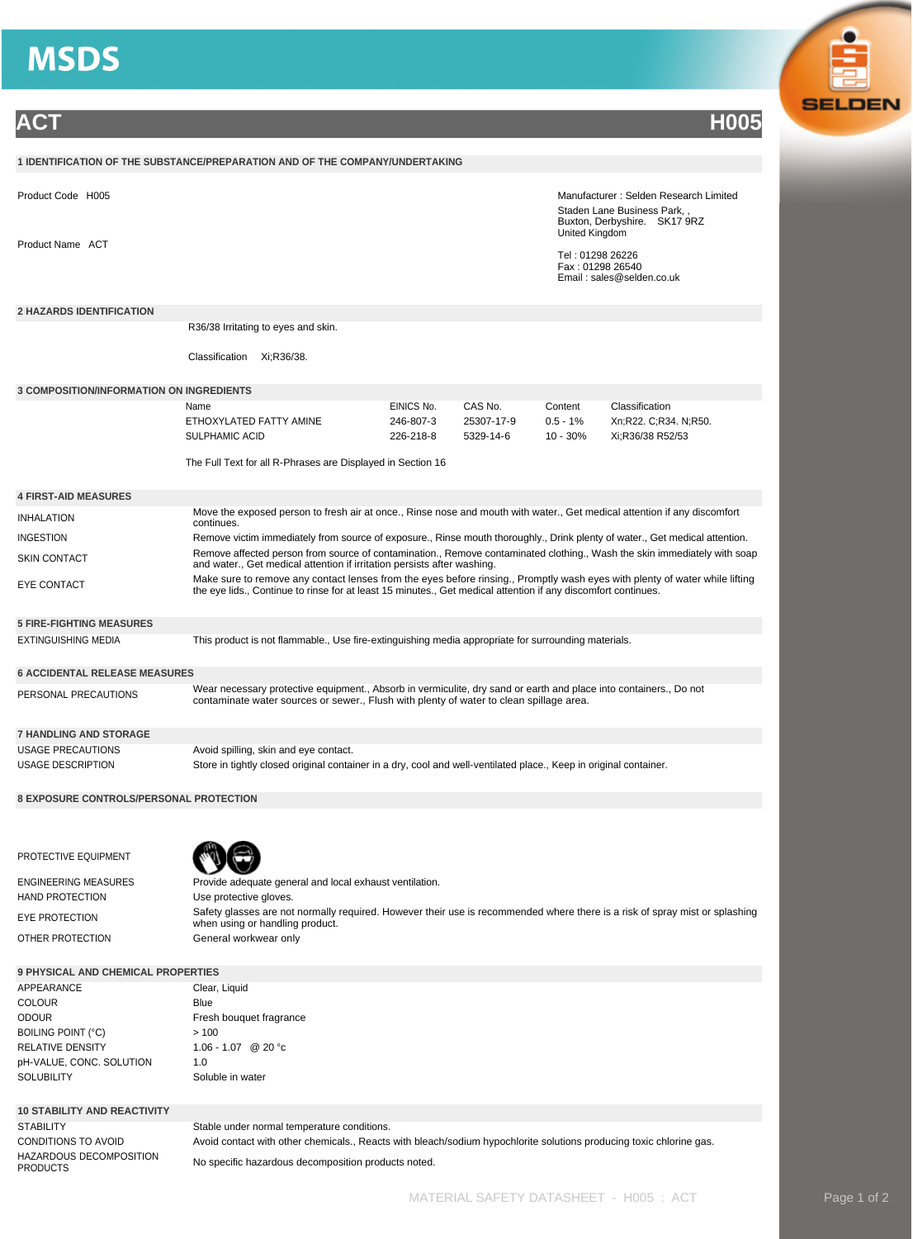

STABILITY Stable under normal temperature conditions. HAZARDOUS DECOMPOSITION

CONDITIONS TO AVOID Avoid contact with other chemicals., Reacts with bleach/sodium hypochlorite solutions producing toxic chlorine gas. No specific hazardous decomposition products noted.